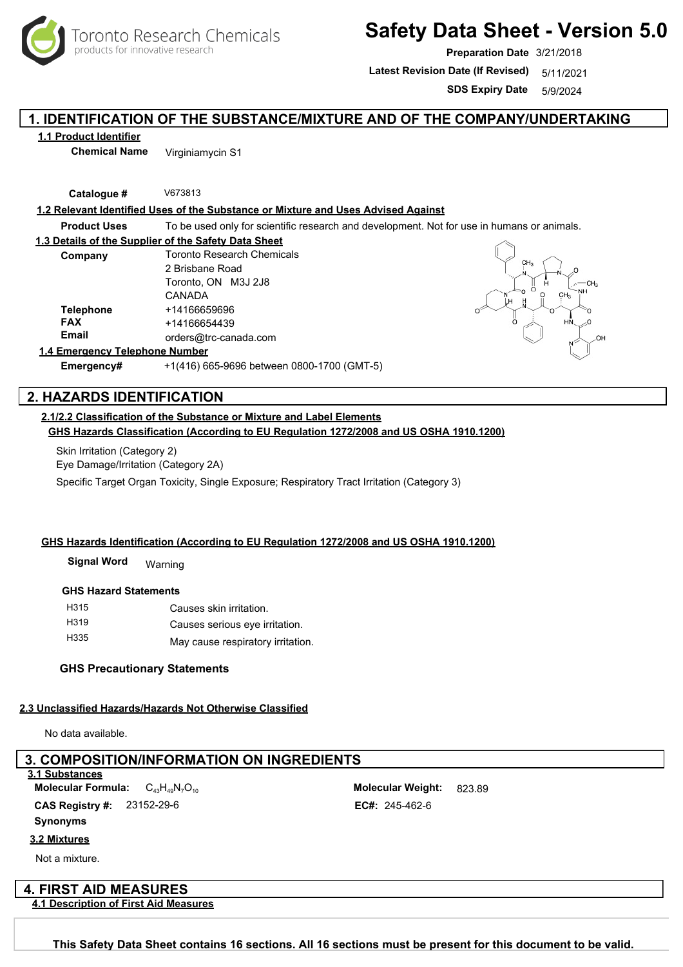

# **Safety Data Sheet - Version 5.0**

**Preparation Date** 3/21/2018

Latest Revision Date (If Revised) 5/11/2021

**SDS Expiry Date** 5/9/2024

### **1. IDENTIFICATION OF THE SUBSTANCE/MIXTURE AND OF THE COMPANY/UNDERTAKING**

### **1.1 Product Identifier**

**Chemical Name** Virginiamycin S1

**Catalogue #** V673813

### **1.2 Relevant Identified Uses of the Substance or Mixture and Uses Advised Against**

**Product Uses** To be used only for scientific research and development. Not for use in humans or animals.

#### **1.3 Details of the Supplier of the Safety Data Sheet**

| Company                        | <b>Toronto Research Chemicals</b> |  |
|--------------------------------|-----------------------------------|--|
|                                | 2 Brisbane Road                   |  |
|                                | Toronto, ON M3J 2J8               |  |
|                                | CANADA                            |  |
| <b>Telephone</b>               | +14166659696                      |  |
| <b>FAX</b>                     | +14166654439                      |  |
| <b>Email</b>                   | orders@trc-canada.com             |  |
| 1.4 Emergency Telephone Number |                                   |  |

**Emergency#** +1(416) 665-9696 between 0800-1700 (GMT-5)



## **2. HAZARDS IDENTIFICATION**

**2.1/2.2 Classification of the Substance or Mixture and Label Elements GHS Hazards Classification (According to EU Regulation 1272/2008 and US OSHA 1910.1200)**

Skin Irritation (Category 2)

Eye Damage/Irritation (Category 2A)

Specific Target Organ Toxicity, Single Exposure; Respiratory Tract Irritation (Category 3)

### **GHS Hazards Identification (According to EU Regulation 1272/2008 and US OSHA 1910.1200)**

Warning **Signal Word**

### **GHS Hazard Statements**

| H315              | Causes skin irritation.           |
|-------------------|-----------------------------------|
| H <sub>3</sub> 19 | Causes serious eye irritation.    |
| H335              | May cause respiratory irritation. |

#### **GHS Precautionary Statements**

### **2.3 Unclassified Hazards/Hazards Not Otherwise Classified**

No data available.

### **3. COMPOSITION/INFORMATION ON INGREDIENTS**

### **3.1 Substances**

**Synonyms Molecular Formula: CAS Registry #:** 

### **3.2 Mixtures**

Not a mixture.

### **4. FIRST AID MEASURES 4.1 Description of First Aid Measures**

Toronto Research Chemicals - V673813 Page <sup>1</sup> **This Safety Data Sheet contains 16 sections. All 16 sections must be present for this document to be valid.**

 $C_{43}H_{49}N_7O_{10}$  Molecular Weight: 823.89 23152-29-6 245-462-6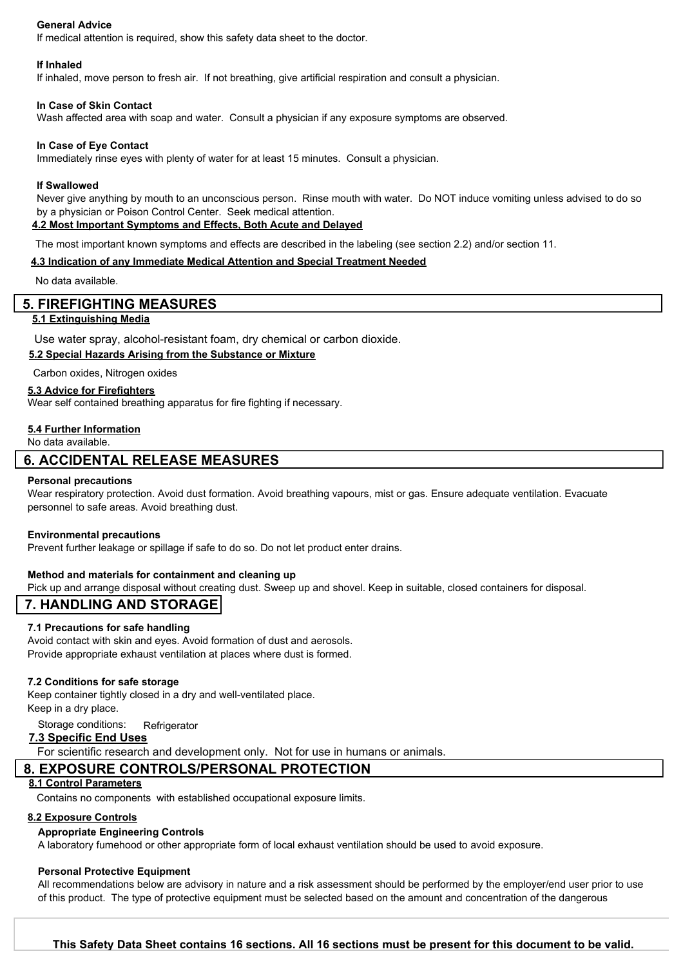### **General Advice**

If medical attention is required, show this safety data sheet to the doctor.

#### **If Inhaled**

If inhaled, move person to fresh air. If not breathing, give artificial respiration and consult a physician.

#### **In Case of Skin Contact**

Wash affected area with soap and water. Consult a physician if any exposure symptoms are observed.

#### **In Case of Eye Contact**

Immediately rinse eyes with plenty of water for at least 15 minutes. Consult a physician.

#### **If Swallowed**

Never give anything by mouth to an unconscious person. Rinse mouth with water. Do NOT induce vomiting unless advised to do so by a physician or Poison Control Center. Seek medical attention. **4.2 Most Important Symptoms and Effects, Both Acute and Delayed**

The most important known symptoms and effects are described in the labeling (see section 2.2) and/or section 11.

### **4.3 Indication of any Immediate Medical Attention and Special Treatment Needed**

No data available.

### **5. FIREFIGHTING MEASURES**

#### **5.1 Extinguishing Media**

**5.2 Special Hazards Arising from the Substance or Mixture** Use water spray, alcohol-resistant foam, dry chemical or carbon dioxide.

Carbon oxides, Nitrogen oxides

#### **5.3 Advice for Firefighters**

Wear self contained breathing apparatus for fire fighting if necessary.

#### **5.4 Further Information**

No data available.

### **6. ACCIDENTAL RELEASE MEASURES**

#### **Personal precautions**

Wear respiratory protection. Avoid dust formation. Avoid breathing vapours, mist or gas. Ensure adequate ventilation. Evacuate personnel to safe areas. Avoid breathing dust.

#### **Environmental precautions**

Prevent further leakage or spillage if safe to do so. Do not let product enter drains.

#### **Method and materials for containment and cleaning up**

Pick up and arrange disposal without creating dust. Sweep up and shovel. Keep in suitable, closed containers for disposal.

### **7. HANDLING AND STORAGE**

#### **7.1 Precautions for safe handling**

Avoid contact with skin and eyes. Avoid formation of dust and aerosols. Provide appropriate exhaust ventilation at places where dust is formed.

#### **7.2 Conditions for safe storage**

Keep container tightly closed in a dry and well-ventilated place. Keep in a dry place.

Storage conditions: Refrigerator

#### **7.3 Specific End Uses**

For scientific research and development only. Not for use in humans or animals.

### **8. EXPOSURE CONTROLS/PERSONAL PROTECTION**

### **8.1 Control Parameters**

Contains no components with established occupational exposure limits.

### **8.2 Exposure Controls**

#### **Appropriate Engineering Controls**

A laboratory fumehood or other appropriate form of local exhaust ventilation should be used to avoid exposure.

#### **Personal Protective Equipment**

All recommendations below are advisory in nature and a risk assessment should be performed by the employer/end user prior to use of this product. The type of protective equipment must be selected based on the amount and concentration of the dangerous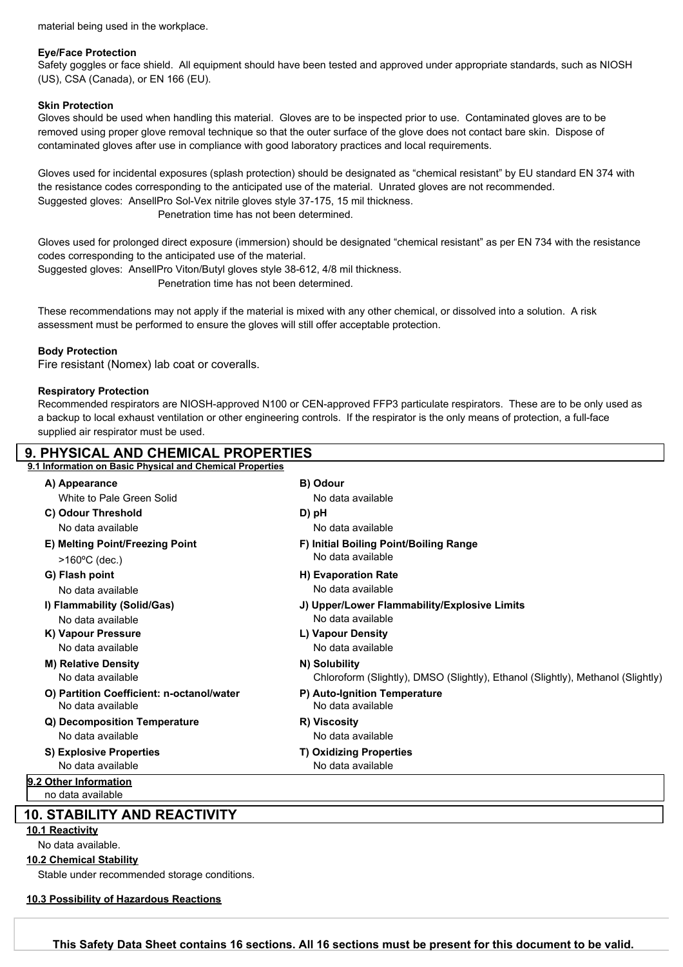material being used in the workplace.

### **Eye/Face Protection**

Safety goggles or face shield. All equipment should have been tested and approved under appropriate standards, such as NIOSH (US), CSA (Canada), or EN 166 (EU).

### **Skin Protection**

Gloves should be used when handling this material. Gloves are to be inspected prior to use. Contaminated gloves are to be removed using proper glove removal technique so that the outer surface of the glove does not contact bare skin. Dispose of contaminated gloves after use in compliance with good laboratory practices and local requirements.

Gloves used for incidental exposures (splash protection) should be designated as "chemical resistant" by EU standard EN 374 with the resistance codes corresponding to the anticipated use of the material. Unrated gloves are not recommended. Suggested gloves: AnsellPro Sol-Vex nitrile gloves style 37-175, 15 mil thickness. Penetration time has not been determined.

Gloves used for prolonged direct exposure (immersion) should be designated "chemical resistant" as per EN 734 with the resistance codes corresponding to the anticipated use of the material.

Suggested gloves: AnsellPro Viton/Butyl gloves style 38-612, 4/8 mil thickness.

Penetration time has not been determined.

These recommendations may not apply if the material is mixed with any other chemical, or dissolved into a solution. A risk assessment must be performed to ensure the gloves will still offer acceptable protection.

### **Body Protection**

Fire resistant (Nomex) lab coat or coveralls.

### **Respiratory Protection**

Recommended respirators are NIOSH-approved N100 or CEN-approved FFP3 particulate respirators. These are to be only used as a backup to local exhaust ventilation or other engineering controls. If the respirator is the only means of protection, a full-face supplied air respirator must be used.

| 9. PHYSICAL AND CHEMICAL PROPERTIES                       |                                                                                 |  |  |  |
|-----------------------------------------------------------|---------------------------------------------------------------------------------|--|--|--|
| 9.1 Information on Basic Physical and Chemical Properties |                                                                                 |  |  |  |
| A) Appearance                                             | B) Odour                                                                        |  |  |  |
| White to Pale Green Solid                                 | No data available                                                               |  |  |  |
| C) Odour Threshold                                        | D) pH                                                                           |  |  |  |
| No data available                                         | No data available                                                               |  |  |  |
| E) Melting Point/Freezing Point                           | F) Initial Boiling Point/Boiling Range                                          |  |  |  |
| $>160^{\circ}$ C (dec.)                                   | No data available                                                               |  |  |  |
| G) Flash point                                            | H) Evaporation Rate                                                             |  |  |  |
| No data available                                         | No data available                                                               |  |  |  |
| I) Flammability (Solid/Gas)                               | J) Upper/Lower Flammability/Explosive Limits                                    |  |  |  |
| No data available                                         | No data available                                                               |  |  |  |
| K) Vapour Pressure                                        | L) Vapour Density                                                               |  |  |  |
| No data available                                         | No data available                                                               |  |  |  |
| <b>M) Relative Density</b>                                | N) Solubility                                                                   |  |  |  |
| No data available                                         | Chloroform (Slightly), DMSO (Slightly), Ethanol (Slightly), Methanol (Slightly) |  |  |  |
| O) Partition Coefficient: n-octanol/water                 | P) Auto-Ignition Temperature                                                    |  |  |  |
| No data available                                         | No data available                                                               |  |  |  |
| Q) Decomposition Temperature                              | R) Viscosity                                                                    |  |  |  |
| No data available                                         | No data available                                                               |  |  |  |
| S) Explosive Properties                                   | <b>T) Oxidizing Properties</b>                                                  |  |  |  |
| No data available                                         | No data available                                                               |  |  |  |
| 9.2 Other Information                                     |                                                                                 |  |  |  |
| no data available                                         |                                                                                 |  |  |  |
| 10 STARILITY AND REACTIVITY                               |                                                                                 |  |  |  |

### 0. STABILITY AND RE

### **10.1 Reactivity**

No data available.

**10.2 Chemical Stability**

Stable under recommended storage conditions.

#### **10.3 Possibility of Hazardous Reactions**

Toronto Research Chemicals - V673813 Page <sup>3</sup> **This Safety Data Sheet contains 16 sections. All 16 sections must be present for this document to be valid.**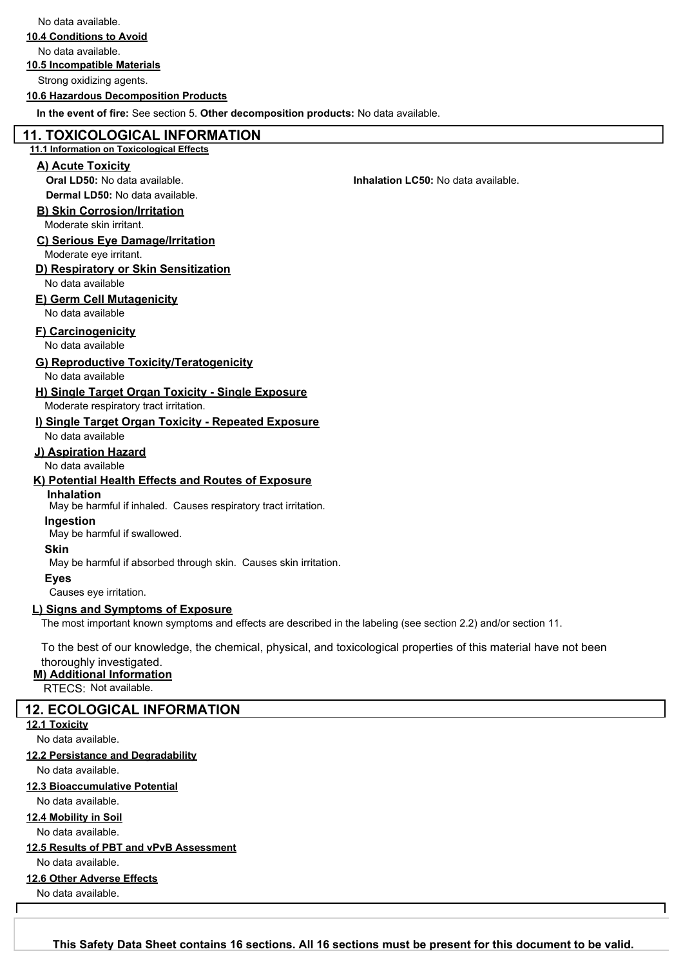**10.4 Conditions to Avoid**

No data available.

#### **10.5 Incompatible Materials**

Strong oxidizing agents.

#### **10.6 Hazardous Decomposition Products**

**In the event of fire:** See section 5. **Other decomposition products:** No data available.

### **11. TOXICOLOGICAL INFORMATION**

### **11.1 Information on Toxicological Effects**

### **A) Acute Toxicity**

**Dermal LD50:** No data available.

### **B) Skin Corrosion/Irritation**

Moderate skin irritant.

### **C) Serious Eye Damage/Irritation** Moderate eye irritant.

# **D) Respiratory or Skin Sensitization**

No data available

### **E) Germ Cell Mutagenicity**

No data available

### **F) Carcinogenicity**

No data available

### **G) Reproductive Toxicity/Teratogenicity**

No data available

# **H) Single Target Organ Toxicity - Single Exposure**

Moderate respiratory tract irritation.

# **I) Single Target Organ Toxicity - Repeated Exposure**

No data available

### **J) Aspiration Hazard**

No data available

### **K) Potential Health Effects and Routes of Exposure**

**Inhalation**

May be harmful if inhaled. Causes respiratory tract irritation.

May be harmful if swallowed. **Ingestion**

#### **Skin**

May be harmful if absorbed through skin. Causes skin irritation.

#### **Eyes**

Causes eye irritation.

### **L) Signs and Symptoms of Exposure**

The most important known symptoms and effects are described in the labeling (see section 2.2) and/or section 11.

To the best of our knowledge, the chemical, physical, and toxicological properties of this material have not been

### thoroughly investigated.

**M) Additional Information**

RTECS: Not available.

### **12. ECOLOGICAL INFORMATION**

**12.1 Toxicity**

### No data available.

**12.2 Persistance and Degradability**

No data available.

### **12.3 Bioaccumulative Potential**

No data available.

#### **12.4 Mobility in Soil**

No data available.

### **12.5 Results of PBT and vPvB Assessment**

No data available.

### **12.6 Other Adverse Effects**

No data available.

Toronto Research Chemicals - V673813 Page <sup>4</sup> **This Safety Data Sheet contains 16 sections. All 16 sections must be present for this document to be valid.**

**Oral LD50:** No data available. **Inhalation LC50:** No data available.